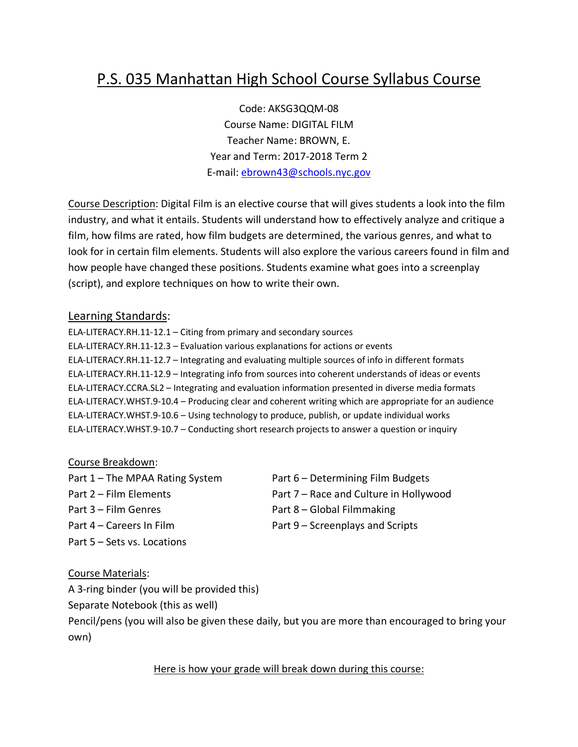## P.S. 035 Manhattan High School Course Syllabus Course

Code: AKSG3QQM-08 Course Name: DIGITAL FILM Teacher Name: BROWN, E. Year and Term: 2017-2018 Term 2 E-mail: ebrown43@schools.nyc.gov

Course Description: Digital Film is an elective course that will gives students a look into the film industry, and what it entails. Students will understand how to effectively analyze and critique a film, how films are rated, how film budgets are determined, the various genres, and what to look for in certain film elements. Students will also explore the various careers found in film and how people have changed these positions. Students examine what goes into a screenplay (script), and explore techniques on how to write their own.

## Learning Standards:

ELA-LITERACY.RH.11-12.1 – Citing from primary and secondary sources ELA-LITERACY.RH.11-12.3 – Evaluation various explanations for actions or events ELA-LITERACY.RH.11-12.7 – Integrating and evaluating multiple sources of info in different formats ELA-LITERACY.RH.11-12.9 – Integrating info from sources into coherent understands of ideas or events ELA-LITERACY.CCRA.SL2 – Integrating and evaluation information presented in diverse media formats ELA-LITERACY.WHST.9-10.4 – Producing clear and coherent writing which are appropriate for an audience ELA-LITERACY.WHST.9-10.6 – Using technology to produce, publish, or update individual works ELA-LITERACY.WHST.9-10.7 – Conducting short research projects to answer a question or inquiry

## Course Breakdown:

Part 1 – The MPAA Rating System Part 6 – Determining Film Budgets Part 3 – Film Genres Part 8 – Global Filmmaking Part 4 – Careers In Film Part 9 – Screenplays and Scripts Part 5 – Sets vs. Locations

Part 2 – Film Elements Part 7 – Race and Culture in Hollywood

- 
- 

## Course Materials:

A 3-ring binder (you will be provided this)

Separate Notebook (this as well)

Pencil/pens (you will also be given these daily, but you are more than encouraged to bring your own)

Here is how your grade will break down during this course: